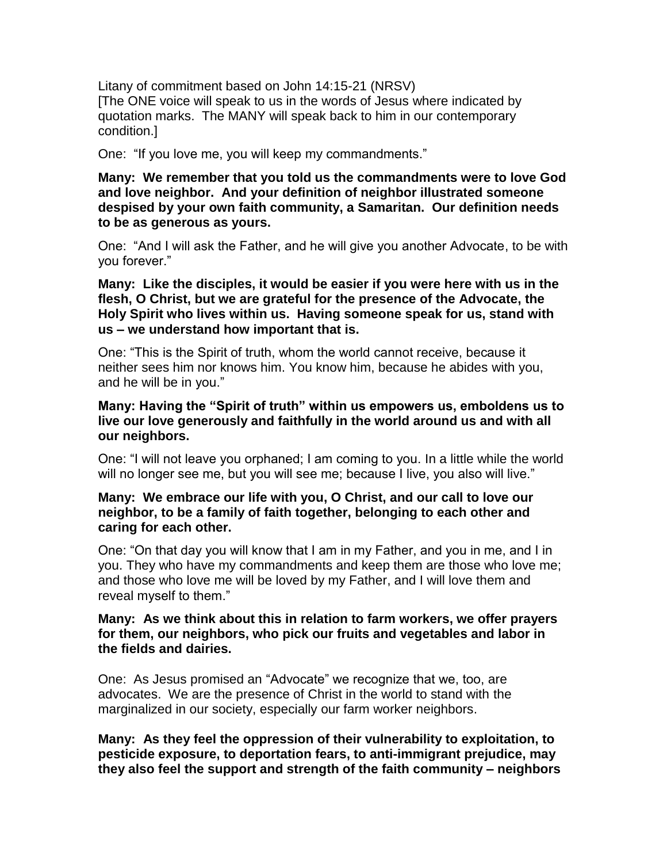Litany of commitment based on John 14:15-21 (NRSV) [The ONE voice will speak to us in the words of Jesus where indicated by quotation marks. The MANY will speak back to him in our contemporary condition.]

One: "If you love me, you will keep my commandments."

**Many: We remember that you told us the commandments were to love God and love neighbor. And your definition of neighbor illustrated someone despised by your own faith community, a Samaritan. Our definition needs to be as generous as yours.**

One: "And I will ask the Father, and he will give you another Advocate, to be with you forever."

**Many: Like the disciples, it would be easier if you were here with us in the flesh, O Christ, but we are grateful for the presence of the Advocate, the Holy Spirit who lives within us. Having someone speak for us, stand with us – we understand how important that is.** 

One: "This is the Spirit of truth, whom the world cannot receive, because it neither sees him nor knows him. You know him, because he abides with you, and he will be in you."

**Many: Having the "Spirit of truth" within us empowers us, emboldens us to live our love generously and faithfully in the world around us and with all our neighbors.**

One: "I will not leave you orphaned; I am coming to you. In a little while the world will no longer see me, but you will see me; because I live, you also will live."

## **Many: We embrace our life with you, O Christ, and our call to love our neighbor, to be a family of faith together, belonging to each other and caring for each other.**

One: "On that day you will know that I am in my Father, and you in me, and I in you. They who have my commandments and keep them are those who love me; and those who love me will be loved by my Father, and I will love them and reveal myself to them."

## **Many: As we think about this in relation to farm workers, we offer prayers for them, our neighbors, who pick our fruits and vegetables and labor in the fields and dairies.**

One: As Jesus promised an "Advocate" we recognize that we, too, are advocates. We are the presence of Christ in the world to stand with the marginalized in our society, especially our farm worker neighbors.

**Many: As they feel the oppression of their vulnerability to exploitation, to pesticide exposure, to deportation fears, to anti-immigrant prejudice, may they also feel the support and strength of the faith community – neighbors**